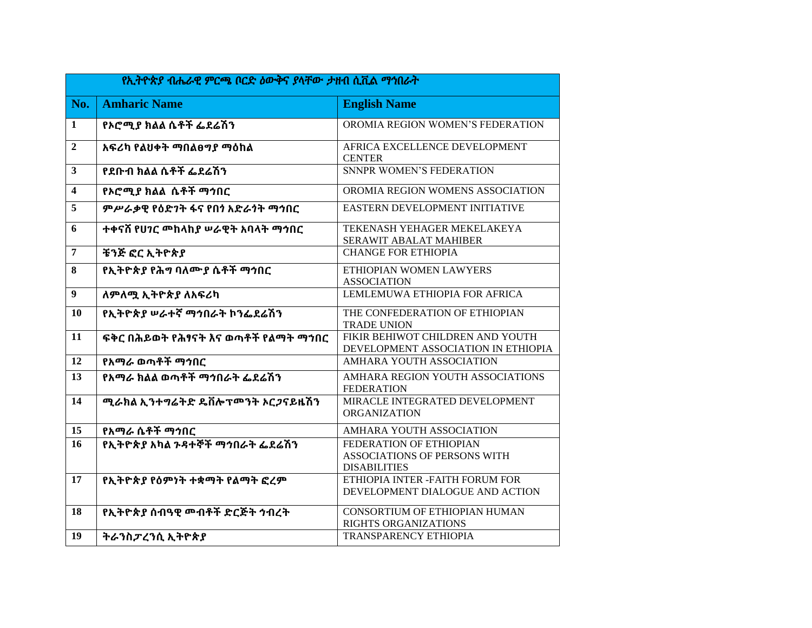| የኢትዮጵያ ብሔራዊ ምርጫ ቦርድ ዕውቅና ያላቸው ታዘብ ሲቪል ማኅበራት |                                                |                                                                                |  |
|---------------------------------------------|------------------------------------------------|--------------------------------------------------------------------------------|--|
| No.                                         | <b>Amharic Name</b>                            | <b>English Name</b>                                                            |  |
| 1                                           | የኦሮሚያ ክልል ሴቶች ፌደሬሽን                            | OROMIA REGION WOMEN'S FEDERATION                                               |  |
| $\mathbf{2}$                                | አፍሪካ የልህቀት ማበልፀግያ ማዕከል                         | AFRICA EXCELLENCE DEVELOPMENT<br><b>CENTER</b>                                 |  |
| $\mathbf{3}$                                | የደቡብ ክልል ሴቶች ፌደሬሽን                             | <b>SNNPR WOMEN'S FEDERATION</b>                                                |  |
| $\overline{\mathbf{4}}$                     | የኦሮሚያ ክልል ሴቶች ማኅበር                             | OROMIA REGION WOMENS ASSOCIATION                                               |  |
| 5                                           | ምሥራቃዊ የዕድንት ፋና የበጎ አድራጎት ማኅበር                  | EASTERN DEVELOPMENT INITIATIVE                                                 |  |
| 6                                           | ተቀናሽ የሀንር መከላከያ ሠራዊት አባላት ማኅበር                 | TEKENASH YEHAGER MEKELAKEYA<br>SERAWIT ABALAT MAHIBER                          |  |
| $\overline{7}$                              | ቼንጅ ፎር ኢትዮጵያ                                   | <b>CHANGE FOR ETHIOPIA</b>                                                     |  |
| 8                                           | የኢትዮጵያ የሕግ ባለሙያ ሴቶች ማኅበር                       | ETHIOPIAN WOMEN LAWYERS<br><b>ASSOCIATION</b>                                  |  |
| $\boldsymbol{9}$                            | ለምለሟ ኢትዮጵያ ለአፍሪካ                               | LEMLEMUWA ETHIOPIA FOR AFRICA                                                  |  |
| <b>10</b>                                   | የኢትዮጵያ ሠራተኛ ማኅበራት ኮንፌደሬሽን                      | THE CONFEDERATION OF ETHIOPIAN<br><b>TRADE UNION</b>                           |  |
| 11                                          | ፍቅር በሕይወት የሕፃናት እና ወጣቶች የልማት ማኀበር              | FIKIR BEHIWOT CHILDREN AND YOUTH<br>DEVELOPMENT ASSOCIATION IN ETHIOPIA        |  |
| 12                                          | የአማራ ወጣቶች ማኅበር                                 | AMHARA YOUTH ASSOCIATION                                                       |  |
| 13                                          | የአማራ ክልል ወጣቶች ማኅበራት ፌደሬሽን                      | AMHARA REGION YOUTH ASSOCIATIONS<br><b>FEDERATION</b>                          |  |
| 14                                          | ሚራክል ኢንተግሬትድ ዴቨሎፕ <b>ሞንት ኦር</b> <i>ጋ</i> ናይዜሽን | MIRACLE INTEGRATED DEVELOPMENT<br><b>ORGANIZATION</b>                          |  |
| 15                                          | የአማራ ሴቶች ማኅበር                                  | AMHARA YOUTH ASSOCIATION                                                       |  |
| 16                                          | የኢትዮጵያ አካል ንዳተኞች ማኅበራት ፌደሬሽን                   | FEDERATION OF ETHIOPIAN<br>ASSOCIATIONS OF PERSONS WITH<br><b>DISABILITIES</b> |  |
| 17                                          | የኢትዮጵያ የዕምነት ተቋማት የልማት ፎረም                     | ETHIOPIA INTER -FAITH FORUM FOR<br>DEVELOPMENT DIALOGUE AND ACTION             |  |
| 18                                          | የኢትዮጵያ ሰብዓዊ መብቶች ድርጅት ኅብረት                     | CONSORTIUM OF ETHIOPIAN HUMAN<br><b>RIGHTS ORGANIZATIONS</b>                   |  |
| 19                                          | ትራንስፓረንሲ ኢትዮጵያ                                 | TRANSPARENCY ETHIOPIA                                                          |  |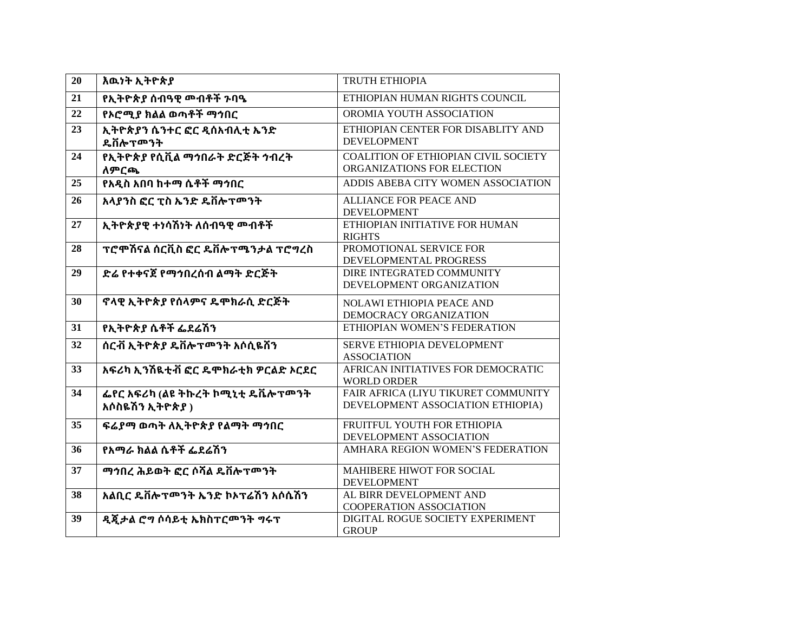| 20              | እዉነት ኢትዮጵያ                                      | <b>TRUTH ETHIOPIA</b>                                                    |
|-----------------|-------------------------------------------------|--------------------------------------------------------------------------|
| 21              | የኢትዮጵያ ሰብዓዊ መብቶች ንባዔ                            | ETHIOPIAN HUMAN RIGHTS COUNCIL                                           |
| 22              | የኦሮሚያ ክልል ወጣቶች ማኅበር                             | OROMIA YOUTH ASSOCIATION                                                 |
| 23              | ኢትዮጵያን ሴንተር ፎር ዲሰአብሊቲ ኤንድ<br>ዴቨሎፕመንት            | ETHIOPIAN CENTER FOR DISABLITY AND<br><b>DEVELOPMENT</b>                 |
| 24              | የኢትዮጵያ የሲቪል ማኅበራት ድርጅት ኅብረት<br>ለምርጫ             | COALITION OF ETHIOPIAN CIVIL SOCIETY<br>ORGANIZATIONS FOR ELECTION       |
| 25              | የአዲስ አበባ ከተማ ሴቶች ማኅበር                           | ADDIS ABEBA CITY WOMEN ASSOCIATION                                       |
| 26              | አላያንስ ፎር ፒስ ኤንድ ዴቨሎፕሞንት                         | <b>ALLIANCE FOR PEACE AND</b><br><b>DEVELOPMENT</b>                      |
| 27              | ኢትዮጵያዊ ተነሳሽነት ለሰብዓዊ መብቶች                        | ETHIOPIAN INITIATIVE FOR HUMAN<br><b>RIGHTS</b>                          |
| 28              | ፕሮሞሽናል ሰርቪስ ፎር ዴቨሎፕሜንታል ፕሮግረስ                   | PROMOTIONAL SERVICE FOR<br>DEVELOPMENTAL PROGRESS                        |
| 29              | ድሬ የተቀናጀ የማኅበረሰብ ልማት ድርጅት                       | DIRE INTEGRATED COMMUNITY<br>DEVELOPMENT ORGANIZATION                    |
| 30              | ኖላዊ ኢትዮጵያ የሰላምና ዴሞክራሲ ድርጅት                      | NOLAWI ETHIOPIA PEACE AND<br>DEMOCRACY ORGANIZATION                      |
| 31              | የኢትዮጵያ ሴቶች ፌደሬሽን                                | ETHIOPIAN WOMEN'S FEDERATION                                             |
| 32              | ሰርቭ ኢትዮጵያ ዴቨሎፕሞንት አሶሲዬሽን                        | SERVE ETHIOPIA DEVELOPMENT<br><b>ASSOCIATION</b>                         |
| $\overline{33}$ | አፍሪካ ኢንሽዪቲቭ ፎር ዴሞክራቲክ ዎርልድ ኦርደር                 | AFRICAN INITIATIVES FOR DEMOCRATIC<br><b>WORLD ORDER</b>                 |
| 34              | ፌየር አፍሪካ (ልዩ ትኩረት ኮሚኒቲ ዴቬሎፕመንት<br>አሶስዬሽን ኢትዮጵያ) | FAIR AFRICA (LIYU TIKURET COMMUNITY<br>DEVELOPMENT ASSOCIATION ETHIOPIA) |
| 35              | ፍሬያማ ወጣት ለኢትዮጵያ የልማት ማኅበር                       | FRUITFUL YOUTH FOR ETHIOPIA<br>DEVELOPMENT ASSOCIATION                   |
| 36              | የአማራ ክልል ሴቶች ፌደሬሽን                              | AMHARA REGION WOMEN'S FEDERATION                                         |
| 37              | ማኅበረ ሕይወት ፎር ሶሻል ዴቨሎፕመንት                        | MAHIBERE HIWOT FOR SOCIAL<br><b>DEVELOPMENT</b>                          |
| 38              | አልቢር ዴቨሎፕሞንት ኤንድ ኮኦፕሬሽን አሶሴሽን                   | AL BIRR DEVELOPMENT AND<br>COOPERATION ASSOCIATION                       |
| 39              | ዲጂታል ሮግ ሶሳይቲ ኤክስፐርመንት ግሩፕ                       | DIGITAL ROGUE SOCIETY EXPERIMENT<br><b>GROUP</b>                         |